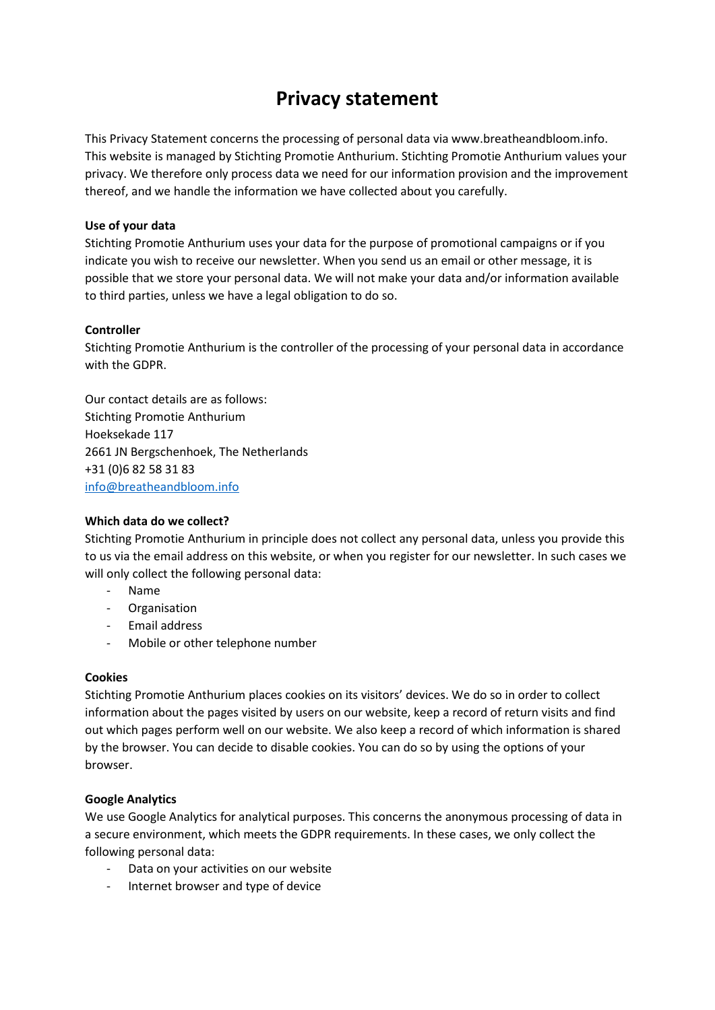# **Privacy statement**

This Privacy Statement concerns the processing of personal data via www.breatheandbloom.info. This website is managed by Stichting Promotie Anthurium. Stichting Promotie Anthurium values your privacy. We therefore only process data we need for our information provision and the improvement thereof, and we handle the information we have collected about you carefully.

## **Use of your data**

Stichting Promotie Anthurium uses your data for the purpose of promotional campaigns or if you indicate you wish to receive our newsletter. When you send us an email or other message, it is possible that we store your personal data. We will not make your data and/or information available to third parties, unless we have a legal obligation to do so.

## **Controller**

Stichting Promotie Anthurium is the controller of the processing of your personal data in accordance with the GDPR.

Our contact details are as follows: Stichting Promotie Anthurium Hoeksekade 117 2661 JN Bergschenhoek, The Netherlands +31 (0)6 82 58 31 83 [info@breatheandbloom.info](mailto:info@breatheandbloom.info)

#### **Which data do we collect?**

Stichting Promotie Anthurium in principle does not collect any personal data, unless you provide this to us via the email address on this website, or when you register for our newsletter. In such cases we will only collect the following personal data:

- Name
- Organisation
- Email address
- Mobile or other telephone number

#### **Cookies**

Stichting Promotie Anthurium places cookies on its visitors' devices. We do so in order to collect information about the pages visited by users on our website, keep a record of return visits and find out which pages perform well on our website. We also keep a record of which information is shared by the browser. You can decide to disable cookies. You can do so by using the options of your browser.

# **Google Analytics**

We use Google Analytics for analytical purposes. This concerns the anonymous processing of data in a secure environment, which meets the GDPR requirements. In these cases, we only collect the following personal data:

- Data on your activities on our website
- Internet browser and type of device